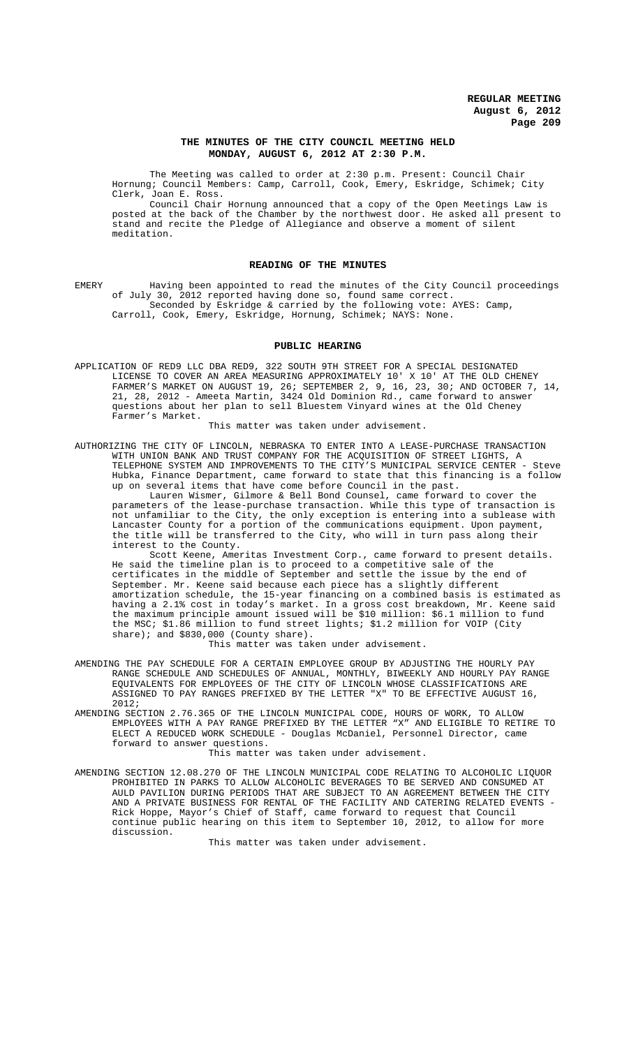### **THE MINUTES OF THE CITY COUNCIL MEETING HELD MONDAY, AUGUST 6, 2012 AT 2:30 P.M.**

The Meeting was called to order at 2:30 p.m. Present: Council Chair Hornung; Council Members: Camp, Carroll, Cook, Emery, Eskridge, Schimek; City Clerk, Joan E. Ross.

Council Chair Hornung announced that a copy of the Open Meetings Law is posted at the back of the Chamber by the northwest door. He asked all present to stand and recite the Pledge of Allegiance and observe a moment of silent meditation.

#### **READING OF THE MINUTES**

EMERY Having been appointed to read the minutes of the City Council proceedings of July 30, 2012 reported having done so, found same correct. Seconded by Eskridge & carried by the following vote: AYES: Camp, Carroll, Cook, Emery, Eskridge, Hornung, Schimek; NAYS: None.

## **PUBLIC HEARING**

APPLICATION OF RED9 LLC DBA RED9, 322 SOUTH 9TH STREET FOR A SPECIAL DESIGNATED LICENSE TO COVER AN AREA MEASURING APPROXIMATELY 10' X 10' AT THE OLD CHENEY FARMER'S MARKET ON AUGUST 19, 26; SEPTEMBER 2, 9, 16, 23, 30; AND OCTOBER 7, 14, 21, 28, 2012 - Ameeta Martin, 3424 Old Dominion Rd., came forward to answer questions about her plan to sell Bluestem Vinyard wines at the Old Cheney Farmer's Market.

## This matter was taken under advisement.

AUTHORIZING THE CITY OF LINCOLN, NEBRASKA TO ENTER INTO A LEASE-PURCHASE TRANSACTION WITH UNION BANK AND TRUST COMPANY FOR THE ACQUISITION OF STREET LIGHTS, A TELEPHONE SYSTEM AND IMPROVEMENTS TO THE CITY'S MUNICIPAL SERVICE CENTER - Steve Hubka, Finance Department, came forward to state that this financing is a follow up on several items that have come before Council in the past.

Lauren Wismer, Gilmore & Bell Bond Counsel, came forward to cover the parameters of the lease-purchase transaction. While this type of transaction is not unfamiliar to the City, the only exception is entering into a sublease with Lancaster County for a portion of the communications equipment. Upon payment, the title will be transferred to the City, who will in turn pass along their interest to the County.

Scott Keene, Ameritas Investment Corp., came forward to present details. He said the timeline plan is to proceed to a competitive sale of the certificates in the middle of September and settle the issue by the end of September. Mr. Keene said because each piece has a slightly different amortization schedule, the 15-year financing on a combined basis is estimated as having a 2.1% cost in today's market. In a gross cost breakdown, Mr. Keene said the maximum principle amount issued will be \$10 million: \$6.1 million to fund the MSC; \$1.86 million to fund street lights; \$1.2 million for VOIP (City share); and \$830,000 (County share).

This matter was taken under advisement.

- AMENDING THE PAY SCHEDULE FOR A CERTAIN EMPLOYEE GROUP BY ADJUSTING THE HOURLY PAY RANGE SCHEDULE AND SCHEDULES OF ANNUAL, MONTHLY, BIWEEKLY AND HOURLY PAY RANGE EQUIVALENTS FOR EMPLOYEES OF THE CITY OF LINCOLN WHOSE CLASSIFICATIONS ARE ASSIGNED TO PAY RANGES PREFIXED BY THE LETTER "X" TO BE EFFECTIVE AUGUST 16, 2012;
- AMENDING SECTION 2.76.365 OF THE LINCOLN MUNICIPAL CODE, HOURS OF WORK, TO ALLOW EMPLOYEES WITH A PAY RANGE PREFIXED BY THE LETTER "X" AND ELIGIBLE TO RETIRE TO ELECT A REDUCED WORK SCHEDULE - Douglas McDaniel, Personnel Director, came forward to answer questions.

This matter was taken under advisement.

AMENDING SECTION 12.08.270 OF THE LINCOLN MUNICIPAL CODE RELATING TO ALCOHOLIC LIQUOR PROHIBITED IN PARKS TO ALLOW ALCOHOLIC BEVERAGES TO BE SERVED AND CONSUMED AT AULD PAVILION DURING PERIODS THAT ARE SUBJECT TO AN AGREEMENT BETWEEN THE CITY AND A PRIVATE BUSINESS FOR RENTAL OF THE FACILITY AND CATERING RELATED EVENTS - Rick Hoppe, Mayor's Chief of Staff, came forward to request that Council continue public hearing on this item to September 10, 2012, to allow for more discussion.

This matter was taken under advisement.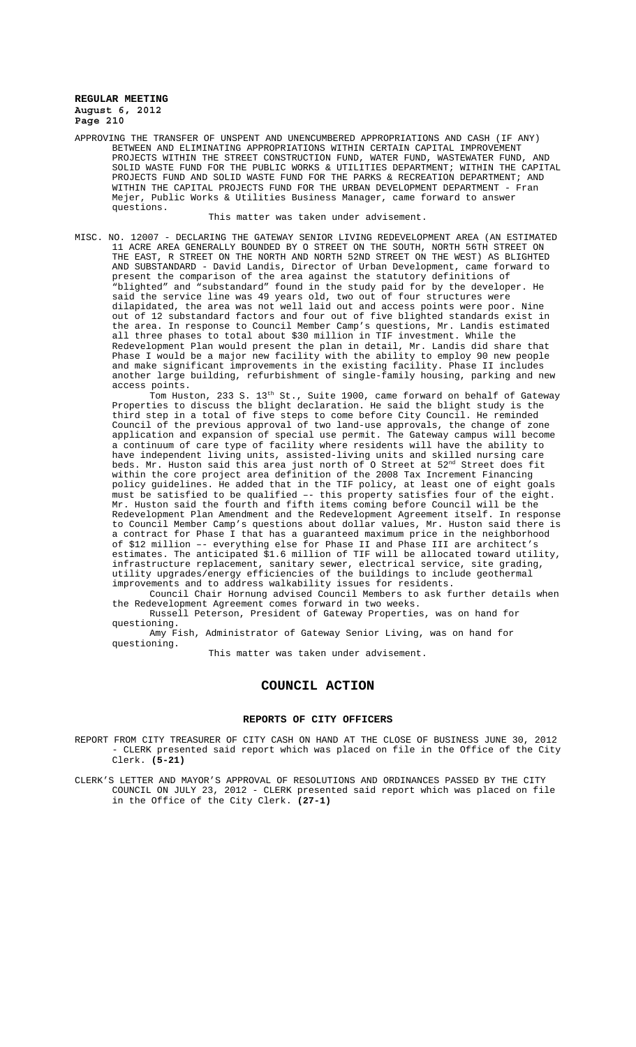APPROVING THE TRANSFER OF UNSPENT AND UNENCUMBERED APPROPRIATIONS AND CASH (IF ANY) BETWEEN AND ELIMINATING APPROPRIATIONS WITHIN CERTAIN CAPITAL IMPROVEMENT PROJECTS WITHIN THE STREET CONSTRUCTION FUND, WATER FUND, WASTEWATER FUND, AND SOLID WASTE FUND FOR THE PUBLIC WORKS & UTILITIES DEPARTMENT; WITHIN THE CAPITAL PROJECTS FUND AND SOLID WASTE FUND FOR THE PARKS & RECREATION DEPARTMENT; AND WITHIN THE CAPITAL PROJECTS FUND FOR THE URBAN DEVELOPMENT DEPARTMENT - Fran Mejer, Public Works & Utilities Business Manager, came forward to answer questions.

This matter was taken under advisement.

MISC. NO. 12007 - DECLARING THE GATEWAY SENIOR LIVING REDEVELOPMENT AREA (AN ESTIMATED 11 ACRE AREA GENERALLY BOUNDED BY O STREET ON THE SOUTH, NORTH 56TH STREET ON THE EAST, R STREET ON THE NORTH AND NORTH 52ND STREET ON THE WEST) AS BLIGHTED AND SUBSTANDARD - David Landis, Director of Urban Development, came forward to present the comparison of the area against the statutory definitions of "blighted" and "substandard" found in the study paid for by the developer. He said the service line was 49 years old, two out of four structures were dilapidated, the area was not well laid out and access points were poor. Nine out of 12 substandard factors and four out of five blighted standards exist in the area. In response to Council Member Camp's questions, Mr. Landis estimated all three phases to total about \$30 million in TIF investment. While the Redevelopment Plan would present the plan in detail, Mr. Landis did share that Phase I would be a major new facility with the ability to employ 90 new people and make significant improvements in the existing facility. Phase II includes another large building, refurbishment of single-family housing, parking and new access points.

Tom Huston, 233 S. 13<sup>th</sup> St., Suite 1900, came forward on behalf of Gateway Properties to discuss the blight declaration. He said the blight study is the third step in a total of five steps to come before City Council. He reminded Council of the previous approval of two land-use approvals, the change of zone application and expansion of special use permit. The Gateway campus will become a continuum of care type of facility where residents will have the ability to have independent living units, assisted-living units and skilled nursing care beds. Mr. Huston said this area just north of O Street at  $52^{\text{nd}}$  Street does fit within the core project area definition of the 2008 Tax Increment Financing policy guidelines. He added that in the TIF policy, at least one of eight goals must be satisfied to be qualified –- this property satisfies four of the eight. Mr. Huston said the fourth and fifth items coming before Council will be the Redevelopment Plan Amendment and the Redevelopment Agreement itself. In response to Council Member Camp's questions about dollar values, Mr. Huston said there is a contract for Phase I that has a guaranteed maximum price in the neighborhood of \$12 million –- everything else for Phase II and Phase III are architect's estimates. The anticipated \$1.6 million of TIF will be allocated toward utility, infrastructure replacement, sanitary sewer, electrical service, site grading, utility upgrades/energy efficiencies of the buildings to include geothermal improvements and to address walkability issues for residents.

Council Chair Hornung advised Council Members to ask further details when the Redevelopment Agreement comes forward in two weeks.

Russell Peterson, President of Gateway Properties, was on hand for questioning.

Amy Fish, Administrator of Gateway Senior Living, was on hand for questioning.

This matter was taken under advisement.

### **COUNCIL ACTION**

#### **REPORTS OF CITY OFFICERS**

- REPORT FROM CITY TREASURER OF CITY CASH ON HAND AT THE CLOSE OF BUSINESS JUNE 30, 2012 - CLERK presented said report which was placed on file in the Office of the City Clerk. **(5-21)**
- CLERK'S LETTER AND MAYOR'S APPROVAL OF RESOLUTIONS AND ORDINANCES PASSED BY THE CITY COUNCIL ON JULY 23, 2012 - CLERK presented said report which was placed on file in the Office of the City Clerk. **(27-1)**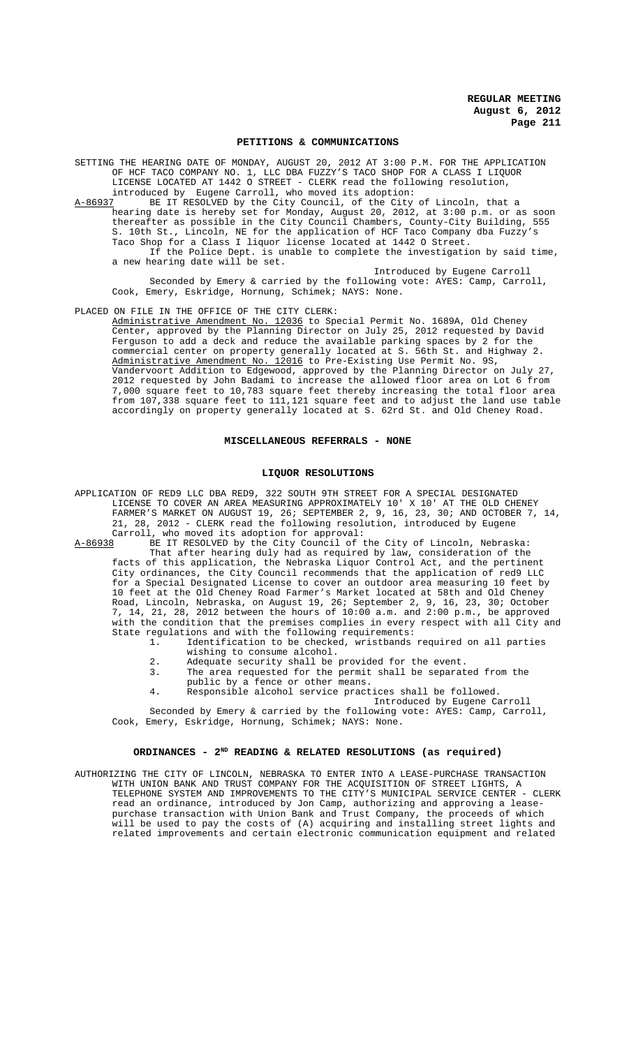#### **PETITIONS & COMMUNICATIONS**

SETTING THE HEARING DATE OF MONDAY, AUGUST 20, 2012 AT 3:00 P.M. FOR THE APPLICATION OF HCF TACO COMPANY NO. 1, LLC DBA FUZZY'S TACO SHOP FOR A CLASS I LIQUOR LICENSE LOCATED AT 1442 O STREET - CLERK read the following resolution, introduced by Eugene Carroll, who moved its adoption:<br>A-86937 BE IT RESOLVED by the City Council, of the City

BE IT RESOLVED by the City Council, of the City of Lincoln, that a hearing date is hereby set for Monday, August 20, 2012, at 3:00 p.m. or as soon thereafter as possible in the City Council Chambers, County-City Building, 555 S. 10th St., Lincoln, NE for the application of HCF Taco Company dba Fuzzy's Taco Shop for a Class I liquor license located at 1442 O Street. If the Police Dept. is unable to complete the investigation by said time, a new hearing date will be set.

Introduced by Eugene Carroll Seconded by Emery & carried by the following vote: AYES: Camp, Carroll, Cook, Emery, Eskridge, Hornung, Schimek; NAYS: None.

PLACED ON FILE IN THE OFFICE OF THE CITY CLERK:

Administrative Amendment No. 12036 to Special Permit No. 1689A, Old Cheney Center, approved by the Planning Director on July 25, 2012 requested by David Ferguson to add a deck and reduce the available parking spaces by 2 for the commercial center on property generally located at S. 56th St. and Highway 2. Administrative Amendment No. 12016 to Pre-Existing Use Permit No. 9S, Vandervoort Addition to Edgewood, approved by the Planning Director on July 27, 2012 requested by John Badami to increase the allowed floor area on Lot 6 from 7,000 square feet to 10,783 square feet thereby increasing the total floor area from 107,338 square feet to 111,121 square feet and to adjust the land use table accordingly on property generally located at S. 62rd St. and Old Cheney Road.

#### **MISCELLANEOUS REFERRALS - NONE**

#### **LIQUOR RESOLUTIONS**

APPLICATION OF RED9 LLC DBA RED9, 322 SOUTH 9TH STREET FOR A SPECIAL DESIGNATED LICENSE TO COVER AN AREA MEASURING APPROXIMATELY 10' X 10' AT THE OLD CHENEY FARMER'S MARKET ON AUGUST 19, 26; SEPTEMBER 2, 9, 16, 23, 30; AND OCTOBER 7, 14, 21, 28, 2012 - CLERK read the following resolution, introduced by Eugene Carroll, who moved its adoption for approval:<br>A-86938 BE IT RESOLVED by the City Council of t

BE IT RESOLVED by the City Council of the City of Lincoln, Nebraska: That after hearing duly had as required by law, consideration of the facts of this application, the Nebraska Liquor Control Act, and the pertinent City ordinances, the City Council recommends that the application of red9 LLC for a Special Designated License to cover an outdoor area measuring 10 feet by 10 feet at the Old Cheney Road Farmer's Market located at 58th and Old Cheney Road, Lincoln, Nebraska, on August 19, 26; September 2, 9, 16, 23, 30; October 7, 14, 21, 28, 2012 between the hours of 10:00 a.m. and 2:00 p.m., be approved with the condition that the premises complies in every respect with all City and State regulations and with the following requirements:<br>1. Identification to be checked, wristbands

1. Identification to be checked, wristbands required on all parties wishing to consume alcohol.

- 2. Adequate security shall be provided for the event.
- 3. The area requested for the permit shall be separated from the public by a fence or other means.
- 4. Responsible alcohol service practices shall be followed.
- Introduced by Eugene Carroll Seconded by Emery & carried by the following vote: AYES: Camp, Carroll,

Cook, Emery, Eskridge, Hornung, Schimek; NAYS: None.

## ORDINANCES - 2<sup>ND</sup> READING & RELATED RESOLUTIONS (as required)

AUTHORIZING THE CITY OF LINCOLN, NEBRASKA TO ENTER INTO A LEASE-PURCHASE TRANSACTION WITH UNION BANK AND TRUST COMPANY FOR THE ACQUISITION OF STREET LIGHTS, A TELEPHONE SYSTEM AND IMPROVEMENTS TO THE CITY'S MUNICIPAL SERVICE CENTER - CLERK read an ordinance, introduced by Jon Camp, authorizing and approving a leasepurchase transaction with Union Bank and Trust Company, the proceeds of which .<br>will be used to pay the costs of (A) acquiring and installing street lights and related improvements and certain electronic communication equipment and related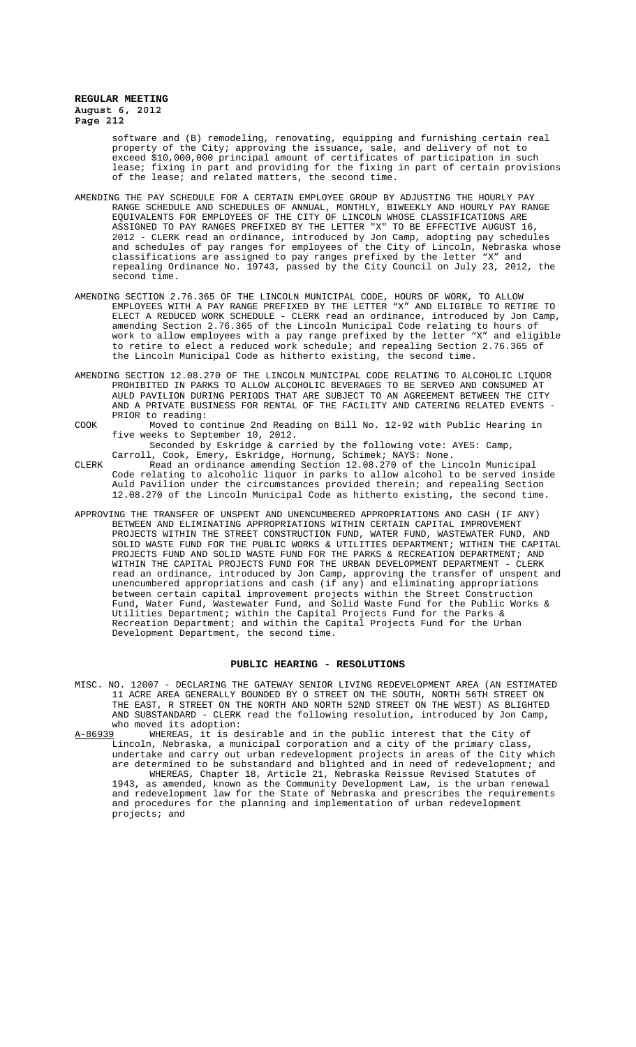> software and (B) remodeling, renovating, equipping and furnishing certain real property of the City; approving the issuance, sale, and delivery of not to exceed \$10,000,000 principal amount of certificates of participation in such lease; fixing in part and providing for the fixing in part of certain provisions of the lease; and related matters, the second time.

- AMENDING THE PAY SCHEDULE FOR A CERTAIN EMPLOYEE GROUP BY ADJUSTING THE HOURLY PAY RANGE SCHEDULE AND SCHEDULES OF ANNUAL, MONTHLY, BIWEEKLY AND HOURLY PAY RANGE EQUIVALENTS FOR EMPLOYEES OF THE CITY OF LINCOLN WHOSE CLASSIFICATIONS ARE ASSIGNED TO PAY RANGES PREFIXED BY THE LETTER "X" TO BE EFFECTIVE AUGUST 16, 2012 - CLERK read an ordinance, introduced by Jon Camp, adopting pay schedules and schedules of pay ranges for employees of the City of Lincoln, Nebraska whose classifications are assigned to pay ranges prefixed by the letter "X" and repealing Ordinance No. 19743, passed by the City Council on July 23, 2012, the second time.
- AMENDING SECTION 2.76.365 OF THE LINCOLN MUNICIPAL CODE, HOURS OF WORK, TO ALLOW EMPLOYEES WITH A PAY RANGE PREFIXED BY THE LETTER "X" AND ELIGIBLE TO RETIRE TO ELECT A REDUCED WORK SCHEDULE - CLERK read an ordinance, introduced by Jon Camp, amending Section 2.76.365 of the Lincoln Municipal Code relating to hours of<br>work to allow employees with a pay range prefixed by the letter "X" and eligible work to allow employees with a pay range prefixed by the letter "X" and eligible to retire to elect a reduced work schedule; and repealing Section 2.76.365 of the Lincoln Municipal Code as hitherto existing, the second time.
- AMENDING SECTION 12.08.270 OF THE LINCOLN MUNICIPAL CODE RELATING TO ALCOHOLIC LIQUOR PROHIBITED IN PARKS TO ALLOW ALCOHOLIC BEVERAGES TO BE SERVED AND CONSUMED AT AULD PAVILION DURING PERIODS THAT ARE SUBJECT TO AN AGREEMENT BETWEEN THE CITY AND A PRIVATE BUSINESS FOR RENTAL OF THE FACILITY AND CATERING RELATED EVENTS - PRIOR to reading:
- COOK Moved to continue 2nd Reading on Bill No. 12-92 with Public Hearing in five weeks to September 10, 2012.

Seconded by Eskridge & carried by the following vote: AYES: Camp, Carroll, Cook, Emery, Eskridge, Hornung, Schimek; NAYS: None.

- CLERK Read an ordinance amending Section 12.08.270 of the Lincoln Municipal Code relating to alcoholic liquor in parks to allow alcohol to be served inside Auld Pavilion under the circumstances provided therein; and repealing Section 12.08.270 of the Lincoln Municipal Code as hitherto existing, the second time.
- APPROVING THE TRANSFER OF UNSPENT AND UNENCUMBERED APPROPRIATIONS AND CASH (IF ANY) BETWEEN AND ELIMINATING APPROPRIATIONS WITHIN CERTAIN CAPITAL IMPROVEMENT PROJECTS WITHIN THE STREET CONSTRUCTION FUND, WATER FUND, WASTEWATER FUND, AND SOLID WASTE FUND FOR THE PUBLIC WORKS & UTILITIES DEPARTMENT; WITHIN THE CAPITAL PROJECTS FUND AND SOLID WASTE FUND FOR THE PARKS & RECREATION DEPARTMENT; AND WITHIN THE CAPITAL PROJECTS FUND FOR THE URBAN DEVELOPMENT DEPARTMENT - CLERK read an ordinance, introduced by Jon Camp, approving the transfer of unspent and unencumbered appropriations and cash (if any) and eliminating appropriations between certain capital improvement projects within the Street Construction Fund, Water Fund, Wastewater Fund, and Solid Waste Fund for the Public Works & Utilities Department; within the Capital Projects Fund for the Parks & Recreation Department; and within the Capital Projects Fund for the Urban Development Department, the second time.

### **PUBLIC HEARING - RESOLUTIONS**

- MISC. NO. 12007 DECLARING THE GATEWAY SENIOR LIVING REDEVELOPMENT AREA (AN ESTIMATED 11 ACRE AREA GENERALLY BOUNDED BY O STREET ON THE SOUTH, NORTH 56TH STREET ON THE EAST, R STREET ON THE NORTH AND NORTH 52ND STREET ON THE WEST) AS BLIGHTED AND SUBSTANDARD - CLERK read the following resolution, introduced by Jon Camp, who moved its adoption:<br>A-86939 WHEREAS, it is de
- A-86939 WHEREAS, it is desirable and in the public interest that the City of Lincoln, Nebraska, a municipal corporation and a city of the primary class, undertake and carry out urban redevelopment projects in areas of the City which are determined to be substandard and blighted and in need of redevelopment; and WHEREAS, Chapter 18, Article 21, Nebraska Reissue Revised Statutes of 1943, as amended, known as the Community Development Law, is the urban renewal and redevelopment law for the State of Nebraska and prescribes the requirements and procedures for the planning and implementation of urban redevelopment projects; and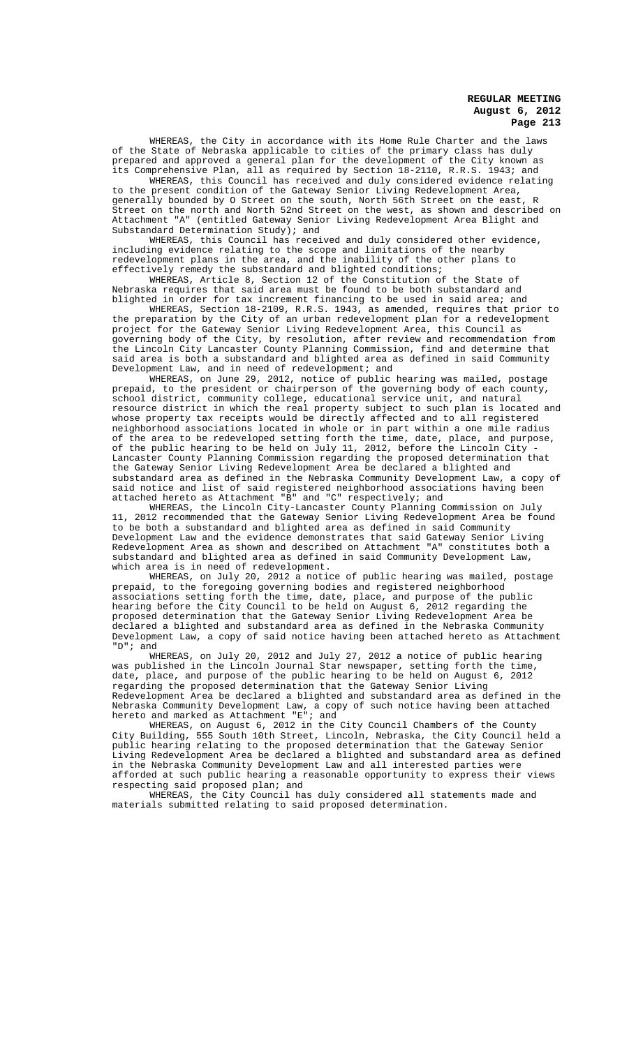WHEREAS, the City in accordance with its Home Rule Charter and the laws of the State of Nebraska applicable to cities of the primary class has duly prepared and approved a general plan for the development of the City known as its Comprehensive Plan, all as required by Section 18-2110, R.R.S. 1943; and

WHEREAS, this Council has received and duly considered evidence relating to the present condition of the Gateway Senior Living Redevelopment Area, generally bounded by O Street on the south, North 56th Street on the east, R Street on the north and North 52nd Street on the west, as shown and described on<br>Attachment "A" (entitled Gateway Senior Living Redevelopment Area Blight and (entitled Gateway Senior Living Redevelopment Area Blight and Substandard Determination Study); and

WHEREAS, this Council has received and duly considered other evidence, including evidence relating to the scope and limitations of the nearby redevelopment plans in the area, and the inability of the other plans to effectively remedy the substandard and blighted conditions;

WHEREAS, Article 8, Section 12 of the Constitution of the State of Nebraska requires that said area must be found to be both substandard and blighted in order for tax increment financing to be used in said area; and

WHEREAS, Section 18-2109, R.R.S. 1943, as amended, requires that prior to the preparation by the City of an urban redevelopment plan for a redevelopment project for the Gateway Senior Living Redevelopment Area, this Council as governing body of the City, by resolution, after review and recommendation from the Lincoln City Lancaster County Planning Commission, find and determine that said area is both a substandard and blighted area as defined in said Community Development Law, and in need of redevelopment; and

WHEREAS, on June 29, 2012, notice of public hearing was mailed, postage prepaid, to the president or chairperson of the governing body of each county, school district, community college, educational service unit, and natural resource district in which the real property subject to such plan is located and whose property tax receipts would be directly affected and to all registered neighborhood associations located in whole or in part within a one mile radius of the area to be redeveloped setting forth the time, date, place, and purpose, of the public hearing to be held on July 11, 2012, before the Lincoln City - Lancaster County Planning Commission regarding the proposed determination that the Gateway Senior Living Redevelopment Area be declared a blighted and substandard area as defined in the Nebraska Community Development Law, a copy of said notice and list of said registered neighborhood associations having been attached hereto as Attachment "B" and "C" respectively; and

WHEREAS, the Lincoln City-Lancaster County Planning Commission on July 11, 2012 recommended that the Gateway Senior Living Redevelopment Area be found to be both a substandard and blighted area as defined in said Community Development Law and the evidence demonstrates that said Gateway Senior Living Redevelopment Area as shown and described on Attachment "A" constitutes both a substandard and blighted area as defined in said Community Development Law, which area is in need of redevelopment.

WHEREAS, on July 20, 2012 a notice of public hearing was mailed, postage prepaid, to the foregoing governing bodies and registered neighborhood associations setting forth the time, date, place, and purpose of the public hearing before the City Council to be held on August 6, 2012 regarding the proposed determination that the Gateway Senior Living Redevelopment Area be declared a blighted and substandard area as defined in the Nebraska Community Development Law, a copy of said notice having been attached hereto as Attachment "D"; and

WHEREAS, on July 20, 2012 and July 27, 2012 a notice of public hearing was published in the Lincoln Journal Star newspaper, setting forth the time, date, place, and purpose of the public hearing to be held on August 6, 2012 regarding the proposed determination that the Gateway Senior Living Redevelopment Area be declared a blighted and substandard area as defined in the Nebraska Community Development Law, a copy of such notice having been attached hereto and marked as Attachment "E"; and

WHEREAS, on August 6, 2012 in the City Council Chambers of the County City Building, 555 South 10th Street, Lincoln, Nebraska, the City Council held a public hearing relating to the proposed determination that the Gateway Senior Living Redevelopment Area be declared a blighted and substandard area as defined in the Nebraska Community Development Law and all interested parties were afforded at such public hearing a reasonable opportunity to express their views respecting said proposed plan; and

WHEREAS, the City Council has duly considered all statements made and materials submitted relating to said proposed determination.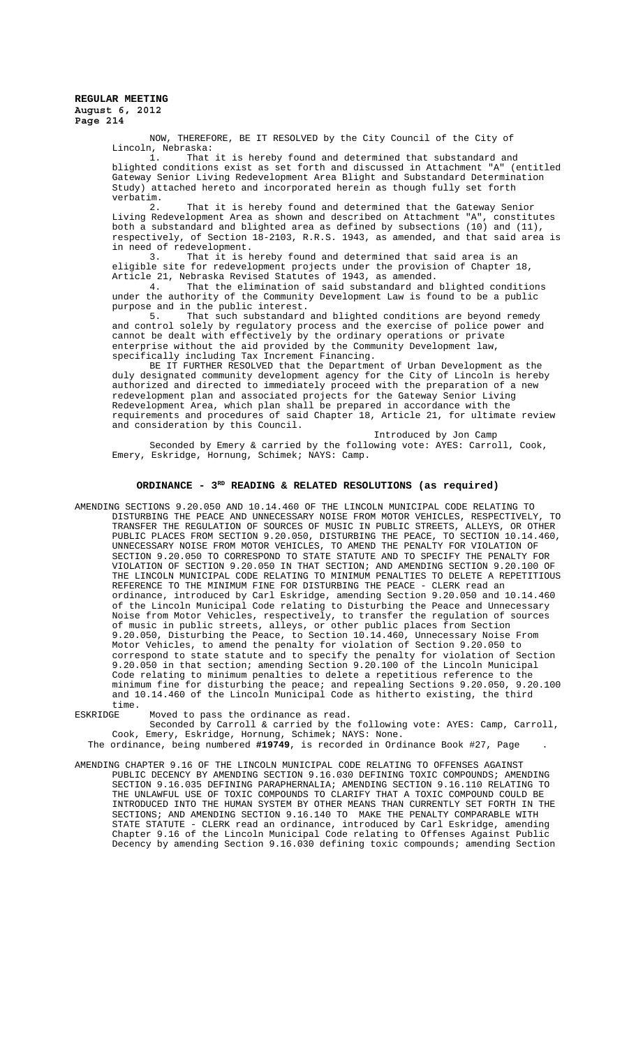NOW, THEREFORE, BE IT RESOLVED by the City Council of the City of Lincoln, Nebraska:<br>1. That

was...<br>That it is hereby found and determined that substandard and<br>itions exist as set forth and discussed in Attachment "A" (entitled blighted conditions exist as set forth and discussed in Attachment "A" Gateway Senior Living Redevelopment Area Blight and Substandard Determination<br>Study) attached hereto and incorporated herein as though fully set forth attached hereto and incorporated herein as though fully set forth verbatim.

2. That it is hereby found and determined that the Gateway Senior Living Redevelopment Area as shown and described on Attachment "A", constitutes both a substandard and blighted area as defined by subsections (10) and (11), respectively, of Section 18-2103, R.R.S. 1943, as amended, and that said area is in need of redevelopment.

3. That it is hereby found and determined that said area is an eligible site for redevelopment projects under the provision of Chapter 18, Article 21, Nebraska Revised Statutes of 1943, as amended.

4. That the elimination of said substandard and blighted conditions under the authority of the Community Development Law is found to be a public purpose and in the public interest.<br>5. That such substandard

That such substandard and blighted conditions are beyond remedy and control solely by regulatory process and the exercise of police power and cannot be dealt with effectively by the ordinary operations or private enterprise without the aid provided by the Community Development law, specifically including Tax Increment Financing.

BE IT FURTHER RESOLVED that the Department of Urban Development as the duly designated community development agency for the City of Lincoln is hereby authorized and directed to immediately proceed with the preparation of a new redevelopment plan and associated projects for the Gateway Senior Living Redevelopment Area, which plan shall be prepared in accordance with the requirements and procedures of said Chapter 18, Article 21, for ultimate review and consideration by this Council.

Introduced by Jon Camp Seconded by Emery & carried by the following vote: AYES: Carroll, Cook, Emery, Eskridge, Hornung, Schimek; NAYS: Camp.

## ORDINANCE - 3<sup>RD</sup> READING & RELATED RESOLUTIONS (as required)

AMENDING SECTIONS 9.20.050 AND 10.14.460 OF THE LINCOLN MUNICIPAL CODE RELATING TO DISTURBING THE PEACE AND UNNECESSARY NOISE FROM MOTOR VEHICLES, RESPECTIVELY, TO TRANSFER THE REGULATION OF SOURCES OF MUSIC IN PUBLIC STREETS, ALLEYS, OR OTHER PUBLIC PLACES FROM SECTION 9.20.050, DISTURBING THE PEACE, TO SECTION UNNECESSARY NOISE FROM MOTOR VEHICLES, TO AMEND THE PENALTY FOR VIOLATION OF SECTION 9.20.050 TO CORRESPOND TO STATE STATUTE AND TO SPECIFY THE PENALTY FOR VIOLATION OF SECTION 9.20.050 IN THAT SECTION; AND AMENDING SECTION 9.20.100 OF THE LINCOLN MUNICIPAL CODE RELATING TO MINIMUM PENALTIES TO DELETE A REPETITIOUS REFERENCE TO THE MINIMUM FINE FOR DISTURBING THE PEACE - CLERK read an ordinance, introduced by Carl Eskridge, amending Section 9.20.050 and 10.14.460 of the Lincoln Municipal Code relating to Disturbing the Peace and Unnecessary Noise from Motor Vehicles, respectively, to transfer the regulation of sources of music in public streets, alleys, or other public places from Section 9.20.050, Disturbing the Peace, to Section 10.14.460, Unnecessary Noise From Motor Vehicles, to amend the penalty for violation of Section 9.20.050 to correspond to state statute and to specify the penalty for violation of Section 9.20.050 in that section; amending Section 9.20.100 of the Lincoln Municipal Code relating to minimum penalties to delete a repetitious reference to the minimum fine for disturbing the peace; and repealing Sections 9.20.050, 9.20.100 and 10.14.460 of the Lincoln Municipal Code as hitherto existing, the third

time.<br>ESKRIDGE Moved to pass the ordinance as read.

Seconded by Carroll & carried by the following vote: AYES: Camp, Carroll, Cook, Emery, Eskridge, Hornung, Schimek; NAYS: None.

The ordinance, being numbered **#19749**, is recorded in Ordinance Book #27, Page .

AMENDING CHAPTER 9.16 OF THE LINCOLN MUNICIPAL CODE RELATING TO OFFENSES AGAINST PUBLIC DECENCY BY AMENDING SECTION 9.16.030 DEFINING TOXIC COMPOUNDS; AMENDING SECTION 9.16.035 DEFINING PARAPHERNALIA; AMENDING SECTION 9.16.110 RELATING TO THE UNLAWFUL USE OF TOXIC COMPOUNDS TO CLARIFY THAT A TOXIC COMPOUND COULD BE INTRODUCED INTO THE HUMAN SYSTEM BY OTHER MEANS THAN CURRENTLY SET FORTH IN THE SECTIONS; AND AMENDING SECTION 9.16.140 TO MAKE THE PENALTY COMPARABLE WITH STATE STATUTE - CLERK read an ordinance, introduced by Carl Eskridge, amending Chapter 9.16 of the Lincoln Municipal Code relating to Offenses Against Public Decency by amending Section 9.16.030 defining toxic compounds; amending Section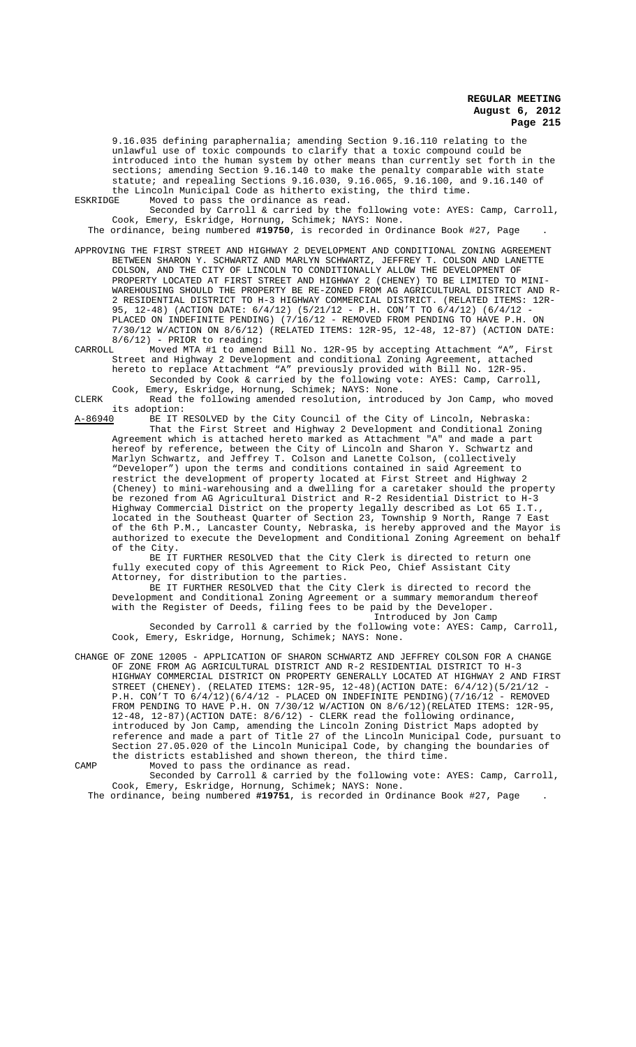9.16.035 defining paraphernalia; amending Section 9.16.110 relating to the unlawful use of toxic compounds to clarify that a toxic compound could be introduced into the human system by other means than currently set forth in the sections; amending Section 9.16.140 to make the penalty comparable with state statute; and repealing Sections 9.16.030, 9.16.065, 9.16.100, and 9.16.140 of the Lincoln Municipal Code as hitherto existing, the third time. ESKRIDGE Moved to pass the ordinance as read.

Seconded by Carroll & carried by the following vote: AYES: Camp, Carroll, Cook, Emery, Eskridge, Hornung, Schimek; NAYS: None.

The ordinance, being numbered **#19750**, is recorded in Ordinance Book #27, Page .

- APPROVING THE FIRST STREET AND HIGHWAY 2 DEVELOPMENT AND CONDITIONAL ZONING AGREEMENT BETWEEN SHARON Y. SCHWARTZ AND MARLYN SCHWARTZ, JEFFREY T. COLSON AND LANETTE COLSON, AND THE CITY OF LINCOLN TO CONDITIONALLY ALLOW THE DEVELOPMENT OF PROPERTY LOCATED AT FIRST STREET AND HIGHWAY 2 (CHENEY) TO BE LIMITED TO MINI-WAREHOUSING SHOULD THE PROPERTY BE RE-ZONED FROM AG AGRICULTURAL DISTRICT AND R-2 RESIDENTIAL DISTRICT TO H-3 HIGHWAY COMMERCIAL DISTRICT. (RELATED ITEMS: 95, 12-48) (ACTION DATE: 6/4/12) (5/21/12 - P.H. CON'T TO 6/4/12) (6/4/12 - PLACED ON INDEFINITE PENDING) (7/16/12 - REMOVED FROM PENDING TO HAVE P.H. ON 7/30/12 W/ACTION ON 8/6/12) (RELATED ITEMS: 12R-95, 12-48, 12-87) (ACTION DATE: 8/6/12) - PRIOR to reading:<br>CARROLL Moved MTA #1 to amen
- Moved MTA #1 to amend Bill No. 12R-95 by accepting Attachment "A", First Street and Highway 2 Development and conditional Zoning Agreement, attached hereto to replace Attachment "A" previously provided with Bill No. 12R-95. Seconded by Cook & carried by the following vote: AYES: Camp, Carroll,
- Cook, Emery, Eskridge, Hornung, Schimek; NAYS: None. CLERK Read the following amended resolution, introduced by Jon Camp, who moved

its adoption:<br>A-86940 BE IT I BE IT RESOLVED by the City Council of the City of Lincoln, Nebraska: That the First Street and Highway 2 Development and Conditional Zoning Agreement which is attached hereto marked as Attachment "A" and made a part hereof by reference, between the City of Lincoln and Sharon Y. Schwartz and Marlyn Schwartz, and Jeffrey T. Colson and Lanette Colson, (collectively "Developer") upon the terms and conditions contained in said Agreement to restrict the development of property located at First Street and Highway 2 (Cheney) to mini-warehousing and a dwelling for a caretaker should the property be rezoned from AG Agricultural District and R-2 Residential District to H-3 Highway Commercial District on the property legally described as Lot 65 I.T., located in the Southeast Quarter of Section 23, Township 9 North, Range 7 East of the 6th P.M., Lancaster County, Nebraska, is hereby approved and the Mayor is authorized to execute the Development and Conditional Zoning Agreement on behalf of the City.

BE IT FURTHER RESOLVED that the City Clerk is directed to return one fully executed copy of this Agreement to Rick Peo, Chief Assistant City Attorney, for distribution to the parties.

BE IT FURTHER RESOLVED that the City Clerk is directed to record the Development and Conditional Zoning Agreement or a summary memorandum thereof with the Register of Deeds, filing fees to be paid by the Developer. Introduced by Jon Camp

Seconded by Carroll & carried by the following vote: AYES: Camp, Carroll, Cook, Emery, Eskridge, Hornung, Schimek; NAYS: None.

CHANGE OF ZONE 12005 - APPLICATION OF SHARON SCHWARTZ AND JEFFREY COLSON FOR A CHANGE OF ZONE FROM AG AGRICULTURAL DISTRICT AND R-2 RESIDENTIAL DISTRICT TO H-3 HIGHWAY COMMERCIAL DISTRICT ON PROPERTY GENERALLY LOCATED AT HIGHWAY 2 AND FIRST STREET (CHENEY). (RELATED ITEMS: 12R-95, 12-48)(ACTION DATE: 6/4/12)(5/21/12 - P.H. CON'T TO 6/4/12)(6/4/12 - PLACED ON INDEFINITE PENDING)(7/16/12 - REMOVED FROM PENDING TO HAVE P.H. ON 7/30/12 W/ACTION ON 8/6/12)(RELATED ITEMS: 12R-95, 12-48, 12-87)(ACTION DATE: 8/6/12) - CLERK read the following ordinance, introduced by Jon Camp, amending the Lincoln Zoning District Maps adopted by reference and made a part of Title 27 of the Lincoln Municipal Code, pursuant to Section 27.05.020 of the Lincoln Municipal Code, by changing the boundaries of the districts established and shown thereon, the third time. CAMP Moved to pass the ordinance as read.

Seconded by Carroll & carried by the following vote: AYES: Camp, Carroll, Cook, Emery, Eskridge, Hornung, Schimek; NAYS: None.

The ordinance, being numbered **#19751**, is recorded in Ordinance Book #27, Page .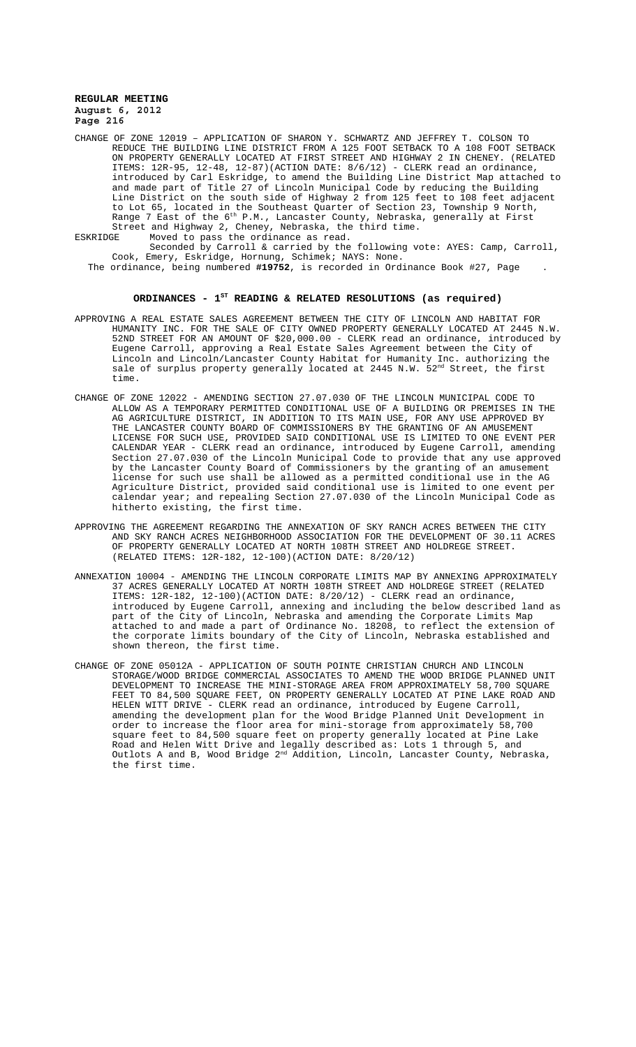- CHANGE OF ZONE 12019 APPLICATION OF SHARON Y. SCHWARTZ AND JEFFREY T. COLSON TO REDUCE THE BUILDING LINE DISTRICT FROM A 125 FOOT SETBACK TO A 108 FOOT SETBACK ON PROPERTY GENERALLY LOCATED AT FIRST STREET AND HIGHWAY 2 IN CHENEY. (RELATED ITEMS: 12R-95, 12-48, 12-87)(ACTION DATE: 8/6/12) - CLERK read an ordinance, introduced by Carl Eskridge, to amend the Building Line District Map attached to and made part of Title 27 of Lincoln Municipal Code by reducing the Building Line District on the south side of Highway 2 from 125 feet to 108 feet adjacent to Lot 65, located in the Southeast Quarter of Section 23, Township 9 North, Range 7 East of the 6th P.M., Lancaster County, Nebraska, generally at First<br>Range 7 East of the 6th P.M., Lancaster the third time Street and Highway 2, Cheney, Nebraska, the third time.<br>ESKRIDGE Moved to pass the ordinance as read.
- Moved to pass the ordinance as read.
	- Seconded by Carroll & carried by the following vote: AYES: Camp, Carroll, Cook, Emery, Eskridge, Hornung, Schimek; NAYS: None.
	- The ordinance, being numbered **#19752**, is recorded in Ordinance Book #27, Page .

# **ORDINANCES - 1ST READING & RELATED RESOLUTIONS (as required)**

- APPROVING A REAL ESTATE SALES AGREEMENT BETWEEN THE CITY OF LINCOLN AND HABITAT FOR HUMANITY INC. FOR THE SALE OF CITY OWNED PROPERTY GENERALLY LOCATED AT 2445 N.W. 52ND STREET FOR AN AMOUNT OF \$20,000.00 - CLERK read an ordinance, introduced by Eugene Carroll, approving a Real Estate Sales Agreement between the City of Lincoln and Lincoln/Lancaster County Habitat for Humanity Inc. authorizing the sale of surplus property generally located at  $2445 \text{ N.W. } 52^{\text{nd}}$  Street, the first time.
- CHANGE OF ZONE 12022 AMENDING SECTION 27.07.030 OF THE LINCOLN MUNICIPAL CODE TO ALLOW AS A TEMPORARY PERMITTED CONDITIONAL USE OF A BUILDING OR PREMISES IN THE AG AGRICULTURE DISTRICT, IN ADDITION TO ITS MAIN USE, FOR ANY USE APPROVED BY THE LANCASTER COUNTY BOARD OF COMMISSIONERS BY THE GRANTING OF AN AMUSEMENT LICENSE FOR SUCH USE, PROVIDED SAID CONDITIONAL USE IS LIMITED TO ONE EVENT PER CALENDAR YEAR - CLERK read an ordinance, introduced by Eugene Carroll, amending Section 27.07.030 of the Lincoln Municipal Code to provide that any use approved by the Lancaster County Board of Commissioners by the granting of an amusement license for such use shall be allowed as a permitted conditional use in the AG Agriculture District, provided said conditional use is limited to one event per calendar year; and repealing Section 27.07.030 of the Lincoln Municipal Code as hitherto existing, the first time.
- APPROVING THE AGREEMENT REGARDING THE ANNEXATION OF SKY RANCH ACRES BETWEEN THE CITY AND SKY RANCH ACRES NEIGHBORHOOD ASSOCIATION FOR THE DEVELOPMENT OF 30.11 ACRES OF PROPERTY GENERALLY LOCATED AT NORTH 108TH STREET AND HOLDREGE STREET. (RELATED ITEMS: 12R-182, 12-100)(ACTION DATE: 8/20/12)
- ANNEXATION 10004 AMENDING THE LINCOLN CORPORATE LIMITS MAP BY ANNEXING APPROXIMATELY 37 ACRES GENERALLY LOCATED AT NORTH 108TH STREET AND HOLDREGE STREET (RELATED ITEMS: 12R-182, 12-100)(ACTION DATE: 8/20/12) - CLERK read an ordinance, introduced by Eugene Carroll, annexing and including the below described land as part of the City of Lincoln, Nebraska and amending the Corporate Limits Map attached to and made a part of Ordinance No. 18208, to reflect the extension of the corporate limits boundary of the City of Lincoln, Nebraska established and shown thereon, the first time.
- CHANGE OF ZONE 05012A APPLICATION OF SOUTH POINTE CHRISTIAN CHURCH AND LINCOLN STORAGE/WOOD BRIDGE COMMERCIAL ASSOCIATES TO AMEND THE WOOD BRIDGE PLANNED UNIT DEVELOPMENT TO INCREASE THE MINI-STORAGE AREA FROM APPROXIMATELY 58,700 SQUARE FEET TO 84,500 SQUARE FEET, ON PROPERTY GENERALLY LOCATED AT PINE LAKE ROAD AND HELEN WITT DRIVE - CLERK read an ordinance, introduced by Eugene Carroll, amending the development plan for the Wood Bridge Planned Unit Development in order to increase the floor area for mini-storage from approximately 58,700 square feet to 84,500 square feet on property generally located at Pine Lake Road and Helen Witt Drive and legally described as: Lots 1 through 5, and Outlots A and B, Wood Bridge  $2^{\text{nd}}$  Addition, Lincoln, Lancaster County, Nebraska, the first time.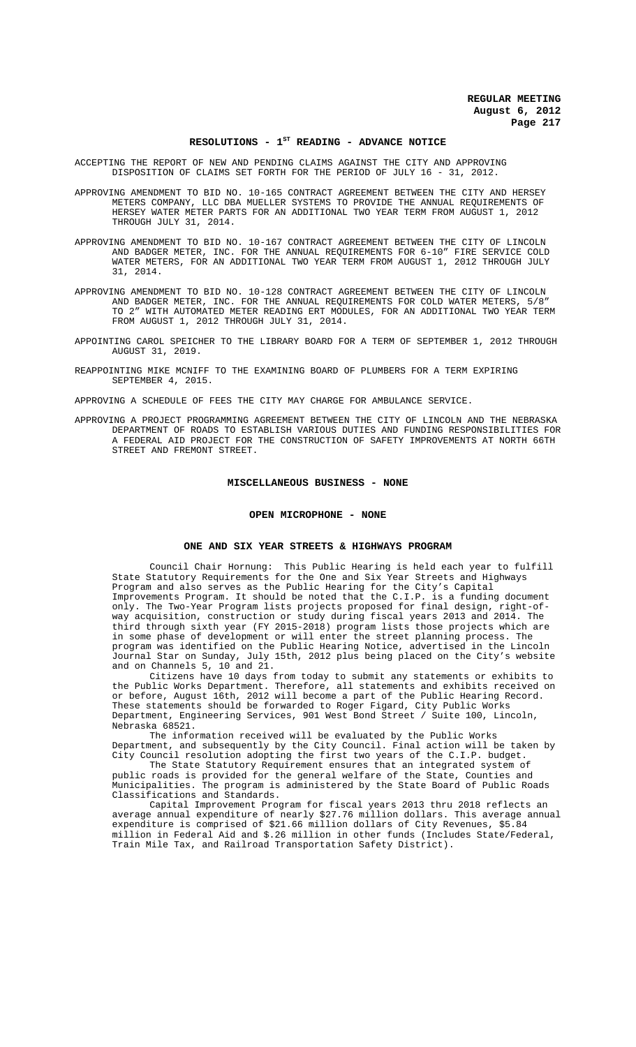#### RESOLUTIONS - 1<sup>st</sup> READING - ADVANCE NOTICE

ACCEPTING THE REPORT OF NEW AND PENDING CLAIMS AGAINST THE CITY AND APPROVING DISPOSITION OF CLAIMS SET FORTH FOR THE PERIOD OF JULY 16 - 31, 2012.

APPROVING AMENDMENT TO BID NO. 10-165 CONTRACT AGREEMENT BETWEEN THE CITY AND HERSEY METERS COMPANY, LLC DBA MUELLER SYSTEMS TO PROVIDE THE ANNUAL REQUIREMENTS OF HERSEY WATER METER PARTS FOR AN ADDITIONAL TWO YEAR TERM FROM AUGUST 1, 2012 THROUGH JULY 31, 2014.

- APPROVING AMENDMENT TO BID NO. 10-167 CONTRACT AGREEMENT BETWEEN THE CITY OF LINCOLN AND BADGER METER, INC. FOR THE ANNUAL REQUIREMENTS FOR 6-10" FIRE SERVICE COLD WATER METERS, FOR AN ADDITIONAL TWO YEAR TERM FROM AUGUST 1, 2012 THROUGH JULY 31, 2014.
- APPROVING AMENDMENT TO BID NO. 10-128 CONTRACT AGREEMENT BETWEEN THE CITY OF LINCOLN AND BADGER METER, INC. FOR THE ANNUAL REQUIREMENTS FOR COLD WATER METERS, 5/8" TO 2" WITH AUTOMATED METER READING ERT MODULES, FOR AN ADDITIONAL TWO YEAR TERM FROM AUGUST 1, 2012 THROUGH JULY 31, 2014.
- APPOINTING CAROL SPEICHER TO THE LIBRARY BOARD FOR A TERM OF SEPTEMBER 1, 2012 THROUGH AUGUST 31, 2019.
- REAPPOINTING MIKE MCNIFF TO THE EXAMINING BOARD OF PLUMBERS FOR A TERM EXPIRING SEPTEMBER 4, 2015.

APPROVING A SCHEDULE OF FEES THE CITY MAY CHARGE FOR AMBULANCE SERVICE.

APPROVING A PROJECT PROGRAMMING AGREEMENT BETWEEN THE CITY OF LINCOLN AND THE NEBRASKA DEPARTMENT OF ROADS TO ESTABLISH VARIOUS DUTIES AND FUNDING RESPONSIBILITIES FOR A FEDERAL AID PROJECT FOR THE CONSTRUCTION OF SAFETY IMPROVEMENTS AT NORTH 66TH STREET AND FREMONT STREET.

#### **MISCELLANEOUS BUSINESS - NONE**

#### **OPEN MICROPHONE - NONE**

#### **ONE AND SIX YEAR STREETS & HIGHWAYS PROGRAM**

Council Chair Hornung: This Public Hearing is held each year to fulfill State Statutory Requirements for the One and Six Year Streets and Highways Program and also serves as the Public Hearing for the City's Capital Improvements Program. It should be noted that the C.I.P. is a funding document only. The Two-Year Program lists projects proposed for final design, way acquisition, construction or study during fiscal years 2013 and 2014. The third through sixth year (FY 2015-2018) program lists those projects which are in some phase of development or will enter the street planning process. The program was identified on the Public Hearing Notice, advertised in the Lincoln Journal Star on Sunday, July 15th, 2012 plus being placed on the City's website and on Channels 5, 10 and 21.

Citizens have 10 days from today to submit any statements or exhibits to the Public Works Department. Therefore, all statements and exhibits received on or before, August 16th, 2012 will become a part of the Public Hearing Record. These statements should be forwarded to Roger Figard, City Public Works Department, Engineering Services, 901 West Bond Street / Suite 100, Lincoln, Nebraska 68521.

The information received will be evaluated by the Public Works Department, and subsequently by the City Council. Final action will be taken by City Council resolution adopting the first two years of the C.I.P. budget.

The State Statutory Requirement ensures that an integrated system of public roads is provided for the general welfare of the State, Counties and Municipalities. The program is administered by the State Board of Public Roads Classifications and Standards.

Capital Improvement Program for fiscal years 2013 thru 2018 reflects an average annual expenditure of nearly \$27.76 million dollars. This average annual expenditure is comprised of \$21.66 million dollars of City Revenues, \$5.84 million in Federal Aid and \$.26 million in other funds (Includes State/Federal, Train Mile Tax, and Railroad Transportation Safety District).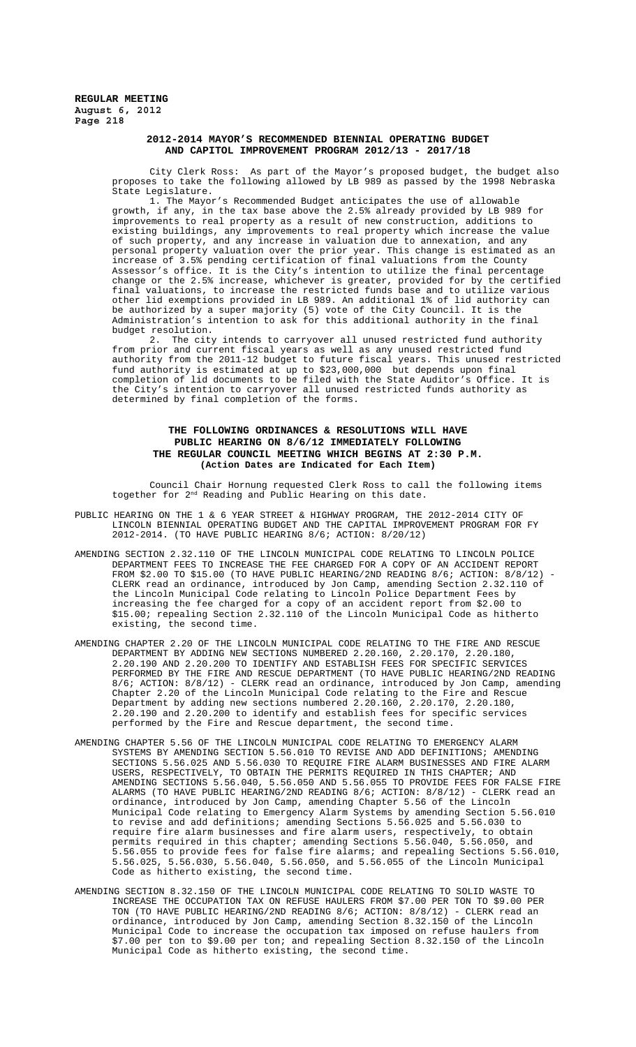### **2012-2014 MAYOR'S RECOMMENDED BIENNIAL OPERATING BUDGET AND CAPITOL IMPROVEMENT PROGRAM 2012/13 - 2017/18**

City Clerk Ross: As part of the Mayor's proposed budget, the budget also proposes to take the following allowed by LB 989 as passed by the 1998 Nebraska State Legislature.<br>1. The Mayor

The Mayor's Recommended Budget anticipates the use of allowable growth, if any, in the tax base above the 2.5% already provided by LB 989 for improvements to real property as a result of new construction, additions to existing buildings, any improvements to real property which increase the value of such property, and any increase in valuation due to annexation, and any personal property valuation over the prior year. This change is estimated as an increase of 3.5% pending certification of final valuations from the County Assessor's office. It is the City's intention to utilize the final percentage change or the 2.5% increase, whichever is greater, provided for by the certified final valuations, to increase the restricted funds base and to utilize various other lid exemptions provided in LB 989. An additional 1% of lid authority can be authorized by a super majority (5) vote of the City Council. It is the Administration's intention to ask for this additional authority in the final budget resolution.

2. The city intends to carryover all unused restricted fund authority from prior and current fiscal years as well as any unused restricted fund authority from the 2011-12 budget to future fiscal years. This unused restricted fund authority is estimated at up to \$23,000,000 but depends upon final completion of lid documents to be filed with the State Auditor's Office. It is the City's intention to carryover all unused restricted funds authority as determined by final completion of the forms.

## **THE FOLLOWING ORDINANCES & RESOLUTIONS WILL HAVE PUBLIC HEARING ON 8/6/12 IMMEDIATELY FOLLOWING THE REGULAR COUNCIL MEETING WHICH BEGINS AT 2:30 P.M. (Action Dates are Indicated for Each Item)**

Council Chair Hornung requested Clerk Ross to call the following items together for 2<sup>nd</sup> Reading and Public Hearing on this date.

- PUBLIC HEARING ON THE 1 & 6 YEAR STREET & HIGHWAY PROGRAM, THE 2012-2014 CITY OF LINCOLN BIENNIAL OPERATING BUDGET AND THE CAPITAL IMPROVEMENT PROGRAM FOR FY 2012-2014. (TO HAVE PUBLIC HEARING 8/6; ACTION: 8/20/12)
- AMENDING SECTION 2.32.110 OF THE LINCOLN MUNICIPAL CODE RELATING TO LINCOLN POLICE DEPARTMENT FEES TO INCREASE THE FEE CHARGED FOR A COPY OF AN ACCIDENT REPORT FROM \$2.00 TO \$15.00 (TO HAVE PUBLIC HEARING/2ND READING  $8/6$ ; ACTION:  $8/8/12$ ) CLERK read an ordinance, introduced by Jon Camp, amending Section 2.32.110 of the Lincoln Municipal Code relating to Lincoln Police Department Fees by increasing the fee charged for a copy of an accident report from \$2.00 to \$15.00; repealing Section 2.32.110 of the Lincoln Municipal Code as hitherto existing, the second time.
- AMENDING CHAPTER 2.20 OF THE LINCOLN MUNICIPAL CODE RELATING TO THE FIRE AND RESCUE DEPARTMENT BY ADDING NEW SECTIONS NUMBERED 2.20.160, 2.20.170, 2.20.180, 2.20.190 AND 2.20.200 TO IDENTIFY AND ESTABLISH FEES FOR SPECIFIC SERVICES PERFORMED BY THE FIRE AND RESCUE DEPARTMENT (TO HAVE PUBLIC HEARING/2ND READING 8/6; ACTION: 8/8/12) - CLERK read an ordinance, introduced by Jon Camp, amending Chapter 2.20 of the Lincoln Municipal Code relating to the Fire and Rescue Department by adding new sections numbered 2.20.160, 2.20.170, 2.20.180, 2.20.190 and 2.20.200 to identify and establish fees for specific services performed by the Fire and Rescue department, the second time.
- AMENDING CHAPTER 5.56 OF THE LINCOLN MUNICIPAL CODE RELATING TO EMERGENCY ALARM SYSTEMS BY AMENDING SECTION 5.56.010 TO REVISE AND ADD DEFINITIONS; AMENDING SECTIONS 5.56.025 AND 5.56.030 TO REQUIRE FIRE ALARM BUSINESSES AND FIRE ALARM USERS, RESPECTIVELY, TO OBTAIN THE PERMITS REQUIRED IN THIS CHAPTER; AND AMENDING SECTIONS 5.56.040, 5.56.050 AND 5.56.055 TO PROVIDE FEES FOR FALSE FIRE ALARMS (TO HAVE PUBLIC HEARING/2ND READING 8/6; ACTION: 8/8/12) - CLERK read an ordinance, introduced by Jon Camp, amending Chapter 5.56 of the Lincoln Municipal Code relating to Emergency Alarm Systems by amending Section 5.56.010 to revise and add definitions; amending Sections 5.56.025 and 5.56.030 to require fire alarm businesses and fire alarm users, respectively, to obtain permits required in this chapter; amending Sections 5.56.040, 5.56.050, and 5.56.055 to provide fees for false fire alarms; and repealing Sections 5.56.010, 5.56.025, 5.56.030, 5.56.040, 5.56.050, and 5.56.055 of the Lincoln Municipal Code as hitherto existing, the second time.
- AMENDING SECTION 8.32.150 OF THE LINCOLN MUNICIPAL CODE RELATING TO SOLID WASTE TO INCREASE THE OCCUPATION TAX ON REFUSE HAULERS FROM \$7.00 PER TON TO \$9.00 PER TON (TO HAVE PUBLIC HEARING/2ND READING 8/6; ACTION: 8/8/12) - CLERK read an ordinance, introduced by Jon Camp, amending Section 8.32.150 of the Lincoln Municipal Code to increase the occupation tax imposed on refuse haulers from \$7.00 per ton to \$9.00 per ton; and repealing Section 8.32.150 of the Lincoln Municipal Code as hitherto existing, the second time.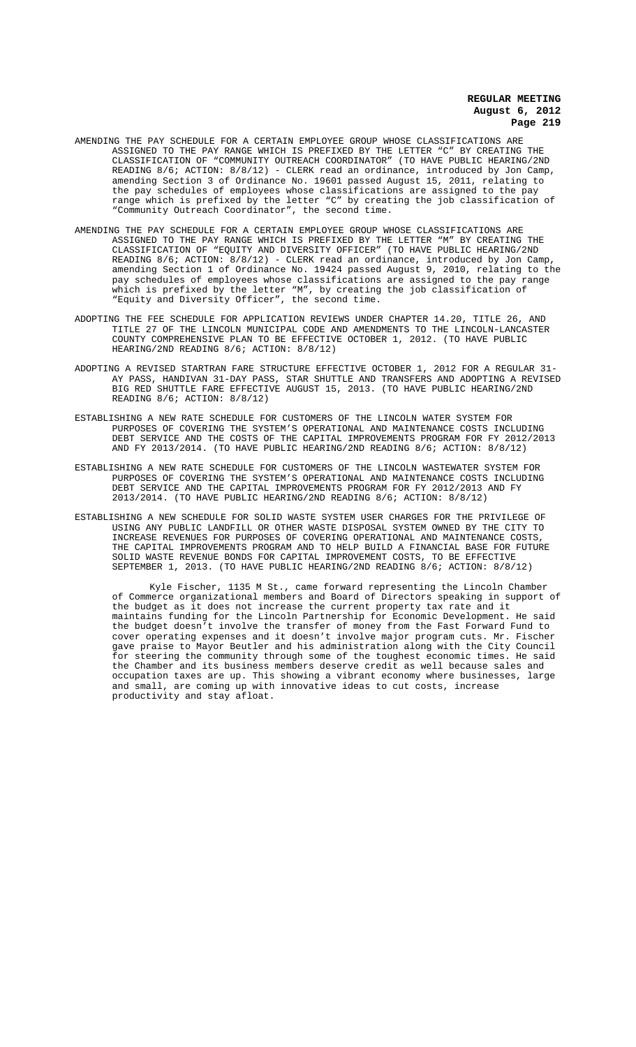- AMENDING THE PAY SCHEDULE FOR A CERTAIN EMPLOYEE GROUP WHOSE CLASSIFICATIONS ARE ASSIGNED TO THE PAY RANGE WHICH IS PREFIXED BY THE LETTER "C" BY CREATING THE CLASSIFICATION OF "COMMUNITY OUTREACH COORDINATOR" (TO HAVE PUBLIC HEARING/2ND READING 8/6; ACTION: 8/8/12) - CLERK read an ordinance, introduced by Jon Camp, amending Section 3 of Ordinance No. 19601 passed August 15, 2011, relating to the pay schedules of employees whose classifications are assigned to the pay range which is prefixed by the letter "C" by creating the job classification of "Community Outreach Coordinator", the second time.
- AMENDING THE PAY SCHEDULE FOR A CERTAIN EMPLOYEE GROUP WHOSE CLASSIFICATIONS ARE ASSIGNED TO THE PAY RANGE WHICH IS PREFIXED BY THE LETTER "M" BY CREATING THE CLASSIFICATION OF "EQUITY AND DIVERSITY OFFICER" (TO HAVE PUBLIC HEARING/2ND READING 8/6; ACTION: 8/8/12) - CLERK read an ordinance, introduced by Jon Camp, amending Section 1 of Ordinance No. 19424 passed August 9, 2010, relating to the pay schedules of employees whose classifications are assigned to the pay range which is prefixed by the letter "M", by creating the job classification of "Equity and Diversity Officer", the second time.
- ADOPTING THE FEE SCHEDULE FOR APPLICATION REVIEWS UNDER CHAPTER 14.20, TITLE 26, AND TITLE 27 OF THE LINCOLN MUNICIPAL CODE AND AMENDMENTS TO THE LINCOLN-LANCASTER COUNTY COMPREHENSIVE PLAN TO BE EFFECTIVE OCTOBER 1, 2012. (TO HAVE PUBLIC HEARING/2ND READING 8/6; ACTION: 8/8/12)
- ADOPTING A REVISED STARTRAN FARE STRUCTURE EFFECTIVE OCTOBER 1, 2012 FOR A REGULAR 31- AY PASS, HANDIVAN 31-DAY PASS, STAR SHUTTLE AND TRANSFERS AND ADOPTING A REVISED BIG RED SHUTTLE FARE EFFECTIVE AUGUST 15, 2013. (TO HAVE PUBLIC HEARING/2ND READING 8/6; ACTION: 8/8/12)
- ESTABLISHING A NEW RATE SCHEDULE FOR CUSTOMERS OF THE LINCOLN WATER SYSTEM FOR PURPOSES OF COVERING THE SYSTEM'S OPERATIONAL AND MAINTENANCE COSTS INCLUDING DEBT SERVICE AND THE COSTS OF THE CAPITAL IMPROVEMENTS PROGRAM FOR FY 2012/2013 AND FY 2013/2014. (TO HAVE PUBLIC HEARING/2ND READING 8/6; ACTION: 8/8/12)
- ESTABLISHING A NEW RATE SCHEDULE FOR CUSTOMERS OF THE LINCOLN WASTEWATER SYSTEM FOR PURPOSES OF COVERING THE SYSTEM'S OPERATIONAL AND MAINTENANCE COSTS INCLUDING DEBT SERVICE AND THE CAPITAL IMPROVEMENTS PROGRAM FOR FY 2012/2013 AND FY 2013/2014. (TO HAVE PUBLIC HEARING/2ND READING 8/6; ACTION: 8/8/12)
- ESTABLISHING A NEW SCHEDULE FOR SOLID WASTE SYSTEM USER CHARGES FOR THE PRIVILEGE OF USING ANY PUBLIC LANDFILL OR OTHER WASTE DISPOSAL SYSTEM OWNED BY THE CITY TO INCREASE REVENUES FOR PURPOSES OF COVERING OPERATIONAL AND MAINTENANCE COSTS, THE CAPITAL IMPROVEMENTS PROGRAM AND TO HELP BUILD A FINANCIAL BASE FOR FUTURE SOLID WASTE REVENUE BONDS FOR CAPITAL IMPROVEMENT COSTS, TO BE EFFECTIVE SEPTEMBER 1, 2013. (TO HAVE PUBLIC HEARING/2ND READING 8/6; ACTION: 8/8/12)

Kyle Fischer, 1135 M St., came forward representing the Lincoln Chamber of Commerce organizational members and Board of Directors speaking in support of the budget as it does not increase the current property tax rate and it maintains funding for the Lincoln Partnership for Economic Development. He said the budget doesn't involve the transfer of money from the Fast Forward Fund to cover operating expenses and it doesn't involve major program cuts. Mr. Fischer gave praise to Mayor Beutler and his administration along with the City Council for steering the community through some of the toughest economic times. He said the Chamber and its business members deserve credit as well because sales and occupation taxes are up. This showing a vibrant economy where businesses, large and small, are coming up with innovative ideas to cut costs, increase productivity and stay afloat.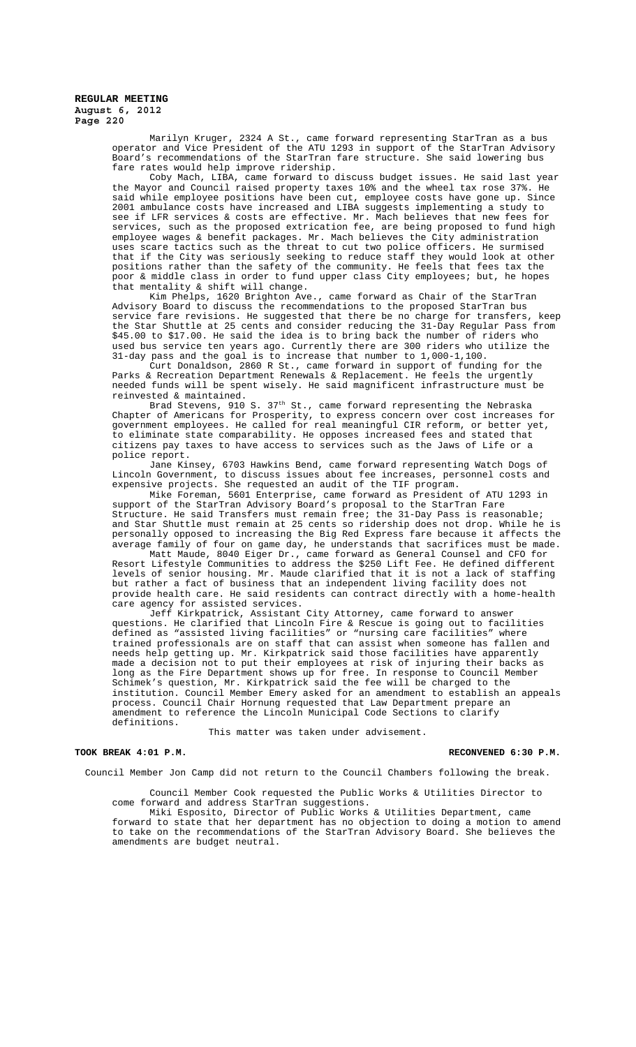Marilyn Kruger, 2324 A St., came forward representing StarTran as a bus operator and Vice President of the ATU 1293 in support of the StarTran Advisory Board's recommendations of the StarTran fare structure. She said lowering bus fare rates would help improve ridership.

Coby Mach, LIBA, came forward to discuss budget issues. He said last year the Mayor and Council raised property taxes 10% and the wheel tax rose 37%. said while employee positions have been cut, employee costs have gone up. Since 2001 ambulance costs have increased and LIBA suggests implementing a study to see if LFR services & costs are effective. Mr. Mach believes that new fees for services, such as the proposed extrication fee, are being proposed to fund high employee wages & benefit packages. Mr. Mach believes the City administration uses scare tactics such as the threat to cut two police officers. He surmised that if the City was seriously seeking to reduce staff they would look at other positions rather than the safety of the community. He feels that fees tax the poor & middle class in order to fund upper class City employees; but, he hopes .<br>that mentality & shift will change.

Kim Phelps, 1620 Brighton Ave., came forward as Chair of the StarTran Advisory Board to discuss the recommendations to the proposed StarTran bus service fare revisions. He suggested that there be no charge for transfers, keep the Star Shuttle at 25 cents and consider reducing the 31-Day Regular Pass from \$45.00 to \$17.00. He said the idea is to bring back the number of riders who used bus service ten years ago. Currently there are 300 riders who utilize the 31-day pass and the goal is to increase that number to 1,000-1,100.

Curt Donaldson, 2860 R St., came forward in support of funding for the Parks & Recreation Department Renewals & Replacement. He feels the urgently needed funds will be spent wisely. He said magnificent infrastructure must be reinvested & maintained.

Brad Stevens, 910 S.  $37^{\rm th}$  St., came forward representing the Nebraska Chapter of Americans for Prosperity, to express concern over cost increases for government employees. He called for real meaningful CIR reform, or better yet, to eliminate state comparability. He opposes increased fees and stated that citizens pay taxes to have access to services such as the Jaws of Life or a police report.

Jane Kinsey, 6703 Hawkins Bend, came forward representing Watch Dogs of Lincoln Government, to discuss issues about fee increases, personnel costs and expensive projects. She requested an audit of the TIF program.

Mike Foreman, 5601 Enterprise, came forward as President of ATU 1293 in support of the StarTran Advisory Board's proposal to the StarTran Fare Structure. He said Transfers must remain free; the 31-Day Pass is reasonable; and Star Shuttle must remain at 25 cents so ridership does not drop. While he is personally opposed to increasing the Big Red Express fare because it affects the average family of four on game day, he understands that sacrifices must be made.

Matt Maude, 8040 Eiger Dr., came forward as General Counsel and CFO for Resort Lifestyle Communities to address the \$250 Lift Fee. He defined different levels of senior housing. Mr. Maude clarified that it is not a lack of staffing but rather a fact of business that an independent living facility does not provide health care. He said residents can contract directly with a home-health care agency for assisted services.

Jeff Kirkpatrick, Assistant City Attorney, came forward to answer questions. He clarified that Lincoln Fire & Rescue is going out to facilities defined as "assisted living facilities" or "nursing care facilities" where trained professionals are on staff that can assist when someone has fallen and needs help getting up. Mr. Kirkpatrick said those facilities have apparently made a decision not to put their employees at risk of injuring their backs as long as the Fire Department shows up for free. In response to Council Member Schimek's question, Mr. Kirkpatrick said the fee will be charged to the institution. Council Member Emery asked for an amendment to establish an appeals process. Council Chair Hornung requested that Law Department prepare an amendment to reference the Lincoln Municipal Code Sections to clarify definitions.

This matter was taken under advisement.

#### **TOOK BREAK 4:01 P.M. RECONVENED 6:30 P.M.**

Council Member Jon Camp did not return to the Council Chambers following the break.

Council Member Cook requested the Public Works & Utilities Director to come forward and address StarTran suggestions.

Miki Esposito, Director of Public Works & Utilities Department, came forward to state that her department has no objection to doing a motion to amend to take on the recommendations of the StarTran Advisory Board. She believes the amendments are budget neutral.